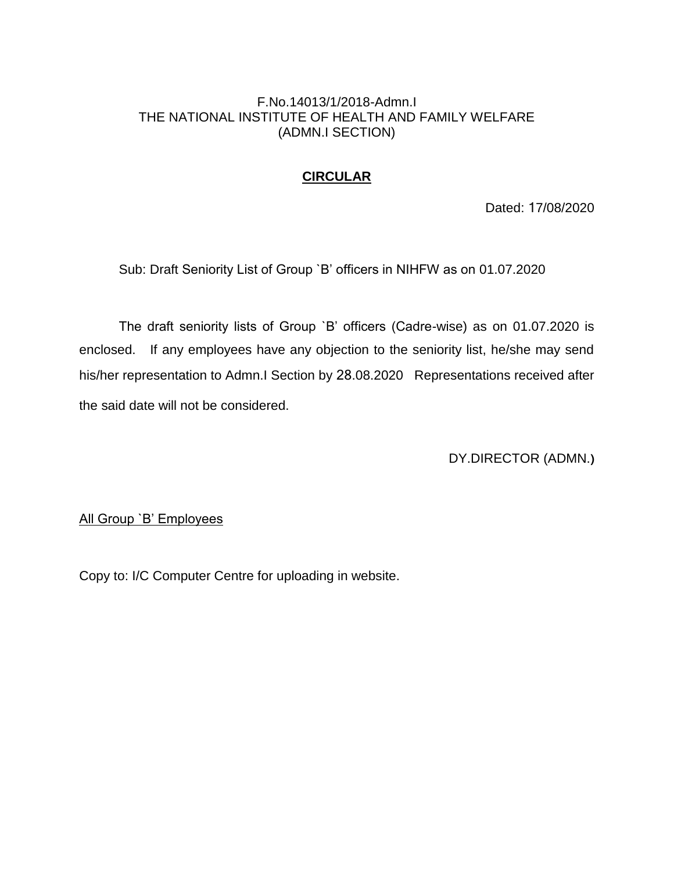### F.No.14013/1/2018-Admn.I THE NATIONAL INSTITUTE OF HEALTH AND FAMILY WELFARE (ADMN.I SECTION)

## **CIRCULAR**

Dated: 17/08/2020

Sub: Draft Seniority List of Group `B' officers in NIHFW as on 01.07.2020

The draft seniority lists of Group `B' officers (Cadre-wise) as on 01.07.2020 is enclosed. If any employees have any objection to the seniority list, he/she may send his/her representation to Admn.I Section by 28.08.2020 Representations received after the said date will not be considered.

DY.DIRECTOR (ADMN.**)**

All Group `B' Employees

Copy to: I/C Computer Centre for uploading in website.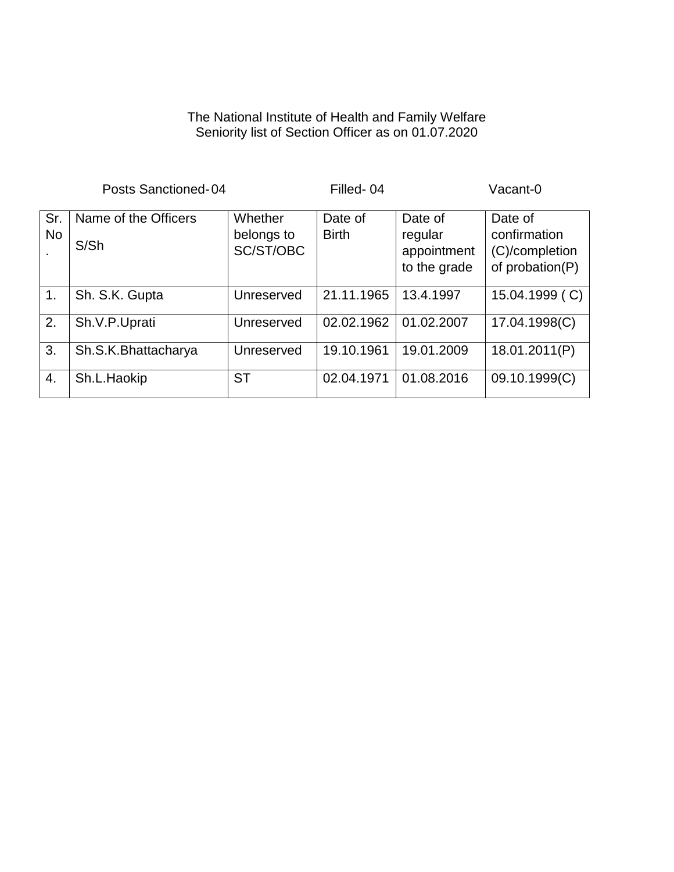#### The National Institute of Health and Family Welfare Seniority list of Section Officer as on 01.07.2020

|                        | Posts Sanctioned-04          | Filled-04                          |                         |                                                   | Vacant-0                                                     |
|------------------------|------------------------------|------------------------------------|-------------------------|---------------------------------------------------|--------------------------------------------------------------|
| Sr.<br><b>No</b><br>٠. | Name of the Officers<br>S/Sh | Whether<br>belongs to<br>SC/ST/OBC | Date of<br><b>Birth</b> | Date of<br>regular<br>appointment<br>to the grade | Date of<br>confirmation<br>(C)/completion<br>of probation(P) |
| $\mathbf{1}$ .         | Sh. S.K. Gupta               | Unreserved                         | 21.11.1965              | 13.4.1997                                         | 15.04.1999 (C)                                               |
| 2.                     | Sh.V.P.Uprati                | Unreserved                         | 02.02.1962              | 01.02.2007                                        | 17.04.1998(C)                                                |
| 3.                     | Sh.S.K.Bhattacharya          | Unreserved                         | 19.10.1961              | 19.01.2009                                        | 18.01.2011(P)                                                |
| $\overline{4}$ .       | Sh.L.Haokip                  | <b>ST</b>                          | 02.04.1971              | 01.08.2016                                        | 09.10.1999(C)                                                |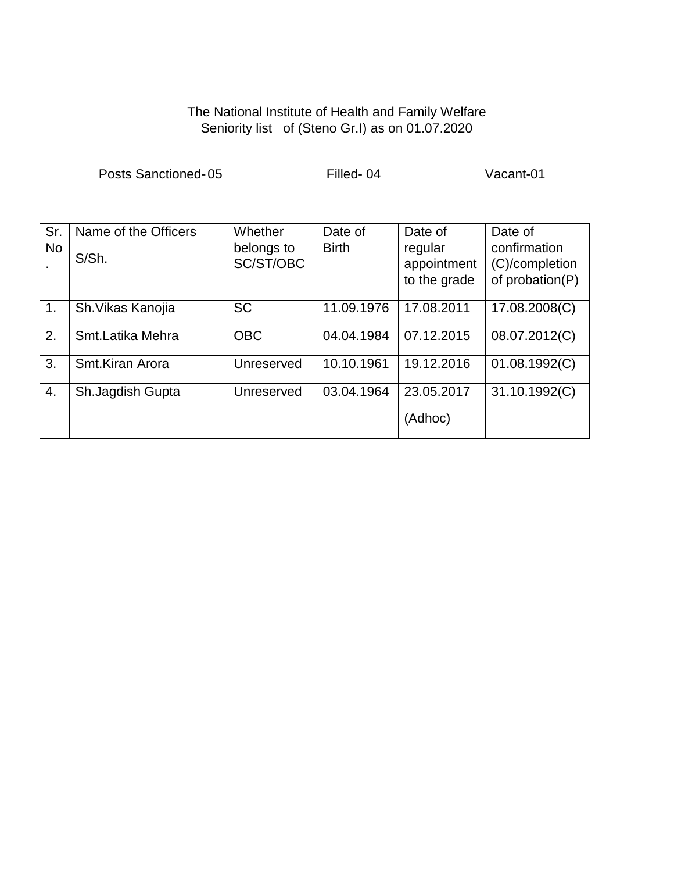# The National Institute of Health and Family Welfare Seniority list of (Steno Gr.I) as on 01.07.2020

Posts Sanctioned-05 Filled- 04 Vacant-01

| Sr.<br><b>No</b> | Name of the Officers<br>S/Sh. | Whether<br>belongs to<br>SC/ST/OBC | Date of<br><b>Birth</b> | Date of<br>regular<br>appointment<br>to the grade | Date of<br>confirmation<br>(C)/completion<br>of probation(P) |
|------------------|-------------------------------|------------------------------------|-------------------------|---------------------------------------------------|--------------------------------------------------------------|
| $\mathbf 1$ .    | Sh. Vikas Kanojia             | <b>SC</b>                          | 11.09.1976              | 17.08.2011                                        | 17.08.2008(C)                                                |
| 2.               | Smt.Latika Mehra              | <b>OBC</b>                         | 04.04.1984              | 07.12.2015                                        | 08.07.2012(C)                                                |
| 3.               | Smt.Kiran Arora               | Unreserved                         | 10.10.1961              | 19.12.2016                                        | 01.08.1992(C)                                                |
| 4.               | Sh.Jagdish Gupta              | Unreserved                         | 03.04.1964              | 23.05.2017                                        | 31.10.1992(C)                                                |
|                  |                               |                                    |                         | (Adhoc)                                           |                                                              |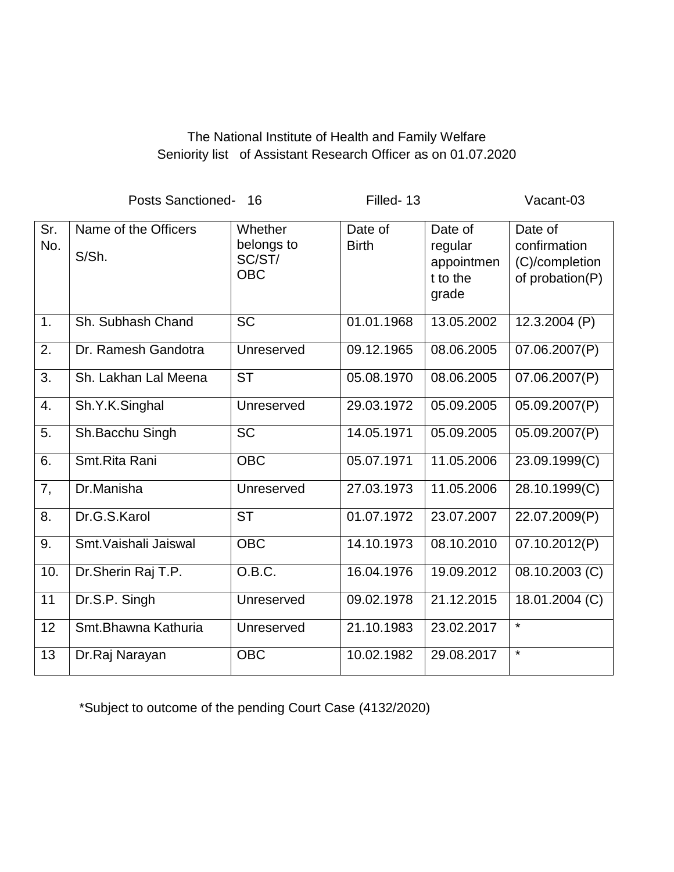## The National Institute of Health and Family Welfare Seniority list of Assistant Research Officer as on 01.07.2020

Posts Sanctioned- 16 Filled- 13 Vacant-03 Sr. No. Name of the Officers S/Sh. **Whether** belongs to SC/ST/ OBC Date of **Birth** Date of regular appointmen t to the grade Date of confirmation (C)/completion of probation(P) 1. Sh. Subhash Chand SC 101.01.1968 13.05.2002 12.3.2004 (P) 2. Dr. Ramesh Gandotra | Unreserved | 09.12.1965 | 08.06.2005 | 07.06.2007(P) 3. Sh. Lakhan Lal Meena  $\vert$  ST  $\vert$  05.08.1970  $\vert$  08.06.2005  $\vert$  07.06.2007(P) 4. Sh.Y.K.Singhal | Unreserved | 29.03.1972 | 05.09.2005 | 05.09.2007(P) 5. Sh.Bacchu Singh | SC | 14.05.1971 | 05.09.2005 | 05.09.2007(P) 6. Smt.Rita Rani (OBC | 05.07.1971 | 11.05.2006 | 23.09.1999(C) 7, Dr.Manisha Unreserved 27.03.1973 11.05.2006 28.10.1999(C) 8. Dr.G.S.Karol ST 01.07.1972 23.07.2007 22.07.2009(P) 9. Smt. Vaishali Jaiswal (OBC 14.10.1973 08.10.2010 07.10.2012(P) 10. | Dr.Sherin Raj T.P. | O.B.C. | 16.04.1976 | 19.09.2012 | 08.10.2003 (C) 11 Dr.S.P. Singh Unreserved 09.02.1978 21.12.2015 18.01.2004 (C) 12 | Smt.Bhawna Kathuria | Unreserved | 21.10.1983 | 23.02.2017 | \* 13 Dr.Raj Narayan OBC 10.02.1982 29.08.2017 \*

\*Subject to outcome of the pending Court Case (4132/2020)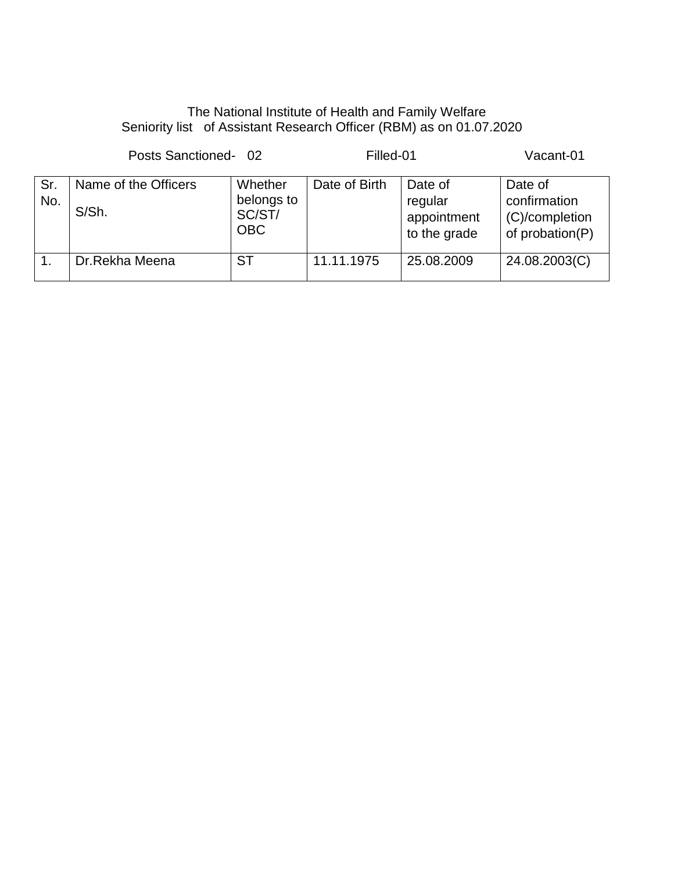# The National Institute of Health and Family Welfare Seniority list of Assistant Research Officer (RBM) as on 01.07.2020

|            | Posts Sanctioned-02           | Filled-01                                     | Vacant-01     |                                                   |                                                              |
|------------|-------------------------------|-----------------------------------------------|---------------|---------------------------------------------------|--------------------------------------------------------------|
| Sr.<br>No. | Name of the Officers<br>S/Sh. | Whether<br>belongs to<br>SC/ST/<br><b>OBC</b> | Date of Birth | Date of<br>regular<br>appointment<br>to the grade | Date of<br>confirmation<br>(C)/completion<br>of probation(P) |
| 1.         | Dr.Rekha Meena                | <b>ST</b>                                     | 11.11.1975    | 25.08.2009                                        | 24.08.2003(C)                                                |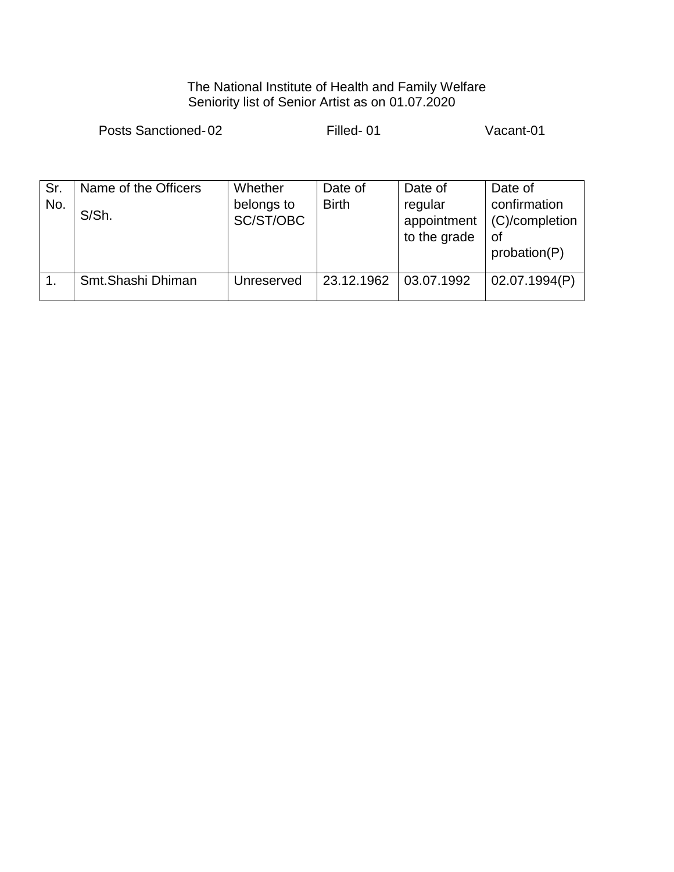#### The National Institute of Health and Family Welfare Seniority list of Senior Artist as on 01.07.2020

Posts Sanctioned-02 Filled- 01 Vacant-01

| Sr.<br>No. | Name of the Officers<br>S/Sh. | Whether<br>belongs to<br>SC/ST/OBC | Date of<br><b>Birth</b> | Date of<br>regular<br>appointment<br>to the grade | Date of<br>confirmation<br>(C)/completion<br>0f<br>probation(P) |
|------------|-------------------------------|------------------------------------|-------------------------|---------------------------------------------------|-----------------------------------------------------------------|
|            | Smt.Shashi Dhiman             | Unreserved                         | 23.12.1962              | 03.07.1992                                        | 02.07.1994(P)                                                   |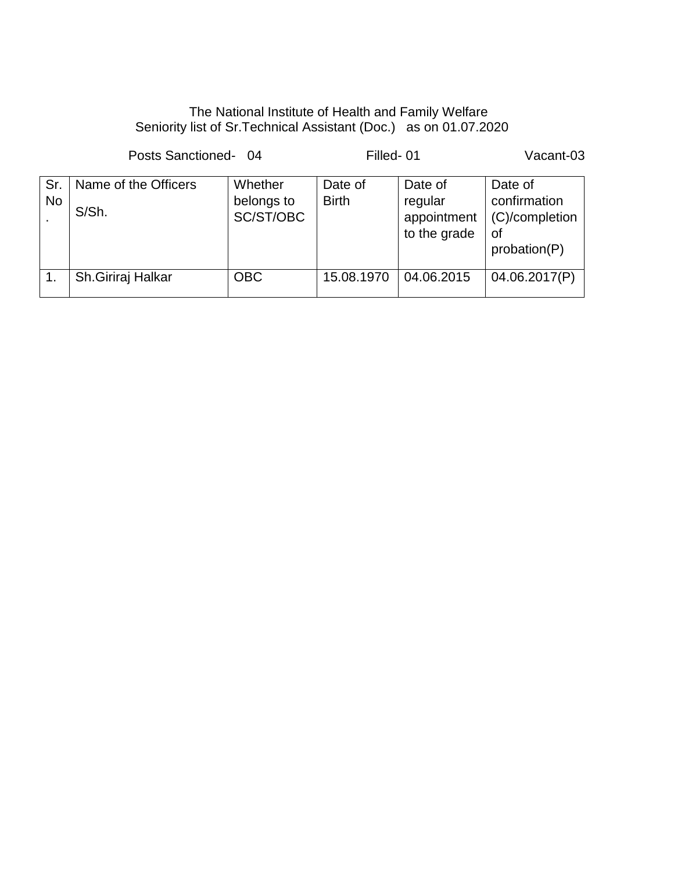## The National Institute of Health and Family Welfare Seniority list of Sr.Technical Assistant (Doc.) as on 01.07.2020

Posts Sanctioned- 04 Filled- 01 Vacant-03 Sr. No Name of the Officers S/Sh. **Whether** belongs to SC/ST/OBC Date of Birth Date of regular appointment to the grade Date of confirmation (C)/completion of probation(P) 1. Sh.Giriraj Halkar | OBC | 15.08.1970 | 04.06.2015 | 04.06.2017(P)

.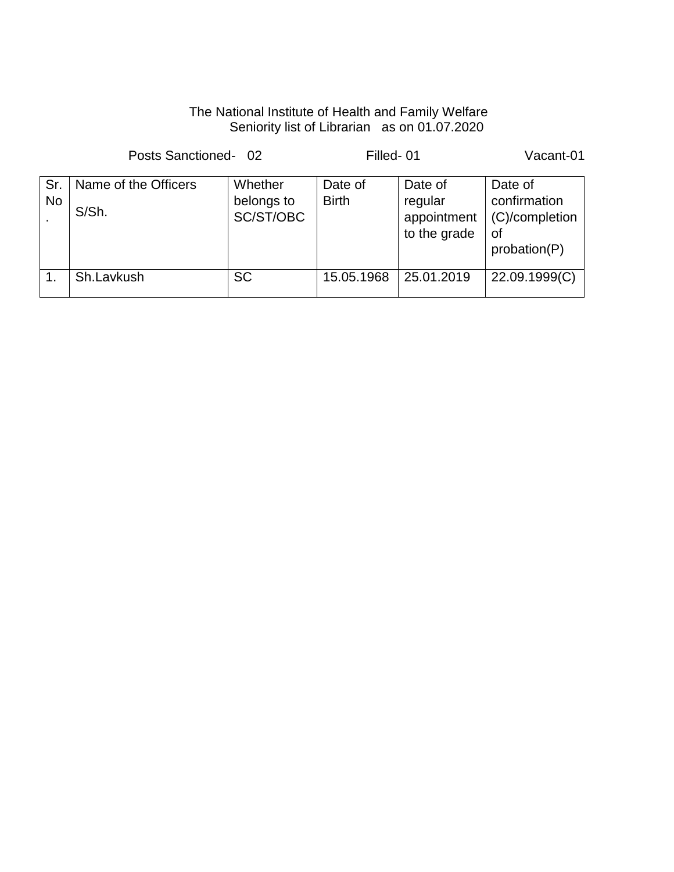# The National Institute of Health and Family Welfare Seniority list of Librarian as on 01.07.2020

| Posts Sanctioned-02 |                               |                                    | Filled-01               |                                                   | Vacant-01                                                       |
|---------------------|-------------------------------|------------------------------------|-------------------------|---------------------------------------------------|-----------------------------------------------------------------|
| Sr.<br><b>No</b>    | Name of the Officers<br>S/Sh. | Whether<br>belongs to<br>SC/ST/OBC | Date of<br><b>Birth</b> | Date of<br>regular<br>appointment<br>to the grade | Date of<br>confirmation<br>(C)/completion<br>οf<br>probation(P) |
|                     | Sh.Lavkush                    | <b>SC</b>                          | 15.05.1968              | 25.01.2019                                        | 22.09.1999(C)                                                   |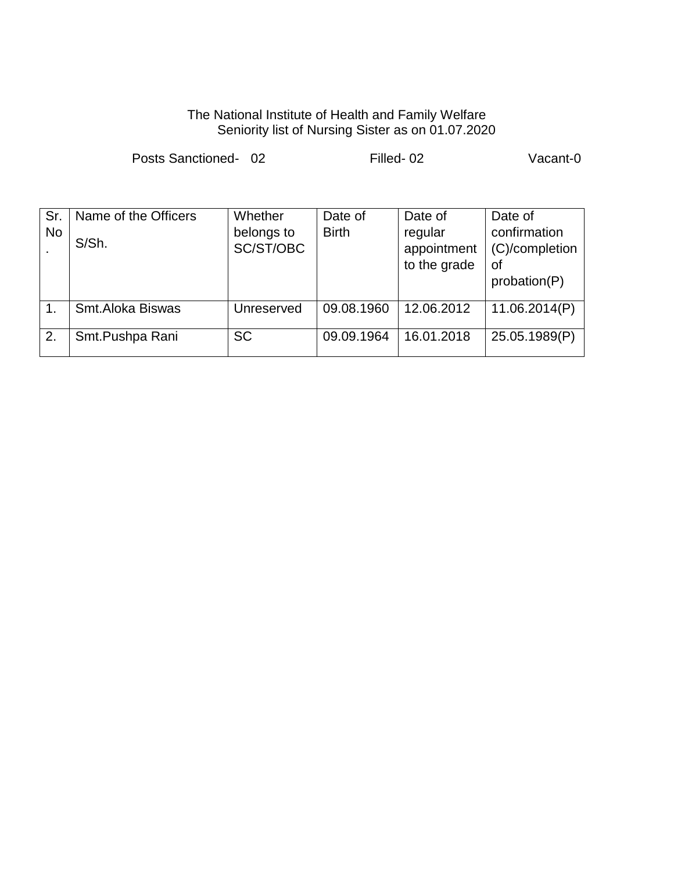#### The National Institute of Health and Family Welfare Seniority list of Nursing Sister as on 01.07.2020

|                                  | Posts Sanctioned-02           |                                    | Filled-02               | Vacant-0                                          |                                                                 |
|----------------------------------|-------------------------------|------------------------------------|-------------------------|---------------------------------------------------|-----------------------------------------------------------------|
| Sr.<br><b>No</b><br>$\mathbf{r}$ | Name of the Officers<br>S/Sh. | Whether<br>belongs to<br>SC/ST/OBC | Date of<br><b>Birth</b> | Date of<br>regular<br>appointment<br>to the grade | Date of<br>confirmation<br>(C)/completion<br>οf<br>probation(P) |
| 1.                               | Smt.Aloka Biswas              | Unreserved                         | 09.08.1960              | 12.06.2012                                        | 11.06.2014(P)                                                   |
| 2.                               | Smt.Pushpa Rani               | <b>SC</b>                          | 09.09.1964              | 16.01.2018                                        | 25.05.1989(P)                                                   |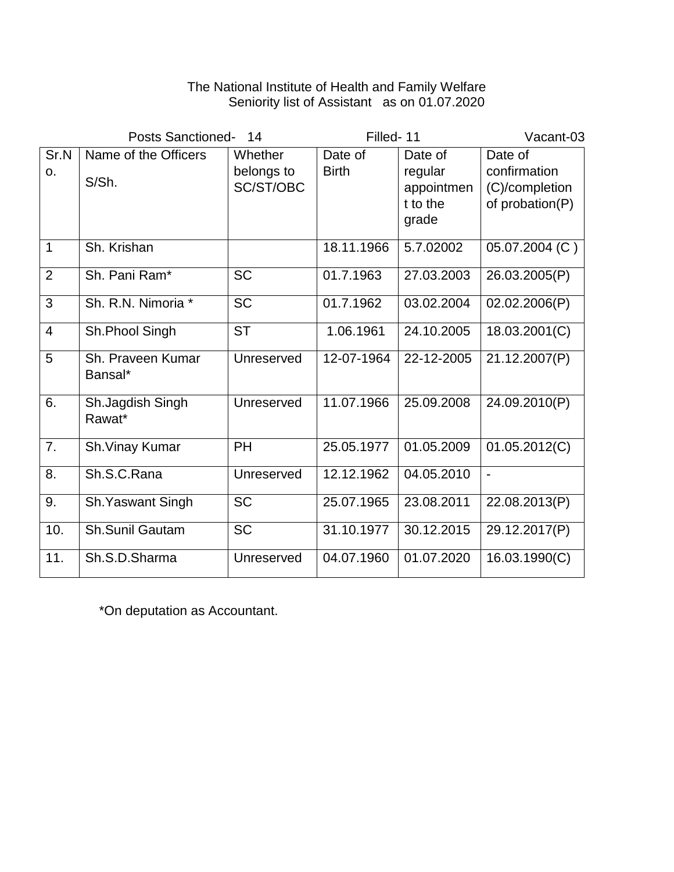#### The National Institute of Health and Family Welfare Seniority list of Assistant as on 01.07.2020

| <b>Posts Sanctioned-</b> |                               | 14                                 | Filled-11               |                                                       | Vacant-03                                                    |
|--------------------------|-------------------------------|------------------------------------|-------------------------|-------------------------------------------------------|--------------------------------------------------------------|
| Sr.N<br>0.               | Name of the Officers<br>S/Sh. | Whether<br>belongs to<br>SC/ST/OBC | Date of<br><b>Birth</b> | Date of<br>regular<br>appointmen<br>t to the<br>grade | Date of<br>confirmation<br>(C)/completion<br>of probation(P) |
| $\mathbf{1}$             | Sh. Krishan                   |                                    | 18.11.1966              | 5.7.02002                                             | 05.07.2004 (C)                                               |
| $\overline{2}$           | Sh. Pani Ram*                 | <b>SC</b>                          | 01.7.1963               | 27.03.2003                                            | 26.03.2005(P)                                                |
| 3                        | Sh. R.N. Nimoria *            | <b>SC</b>                          | 01.7.1962               | 03.02.2004                                            | 02.02.2006(P)                                                |
| $\overline{4}$           | Sh.Phool Singh                | <b>ST</b>                          | 1.06.1961               | 24.10.2005                                            | 18.03.2001(C)                                                |
| 5                        | Sh. Praveen Kumar<br>Bansal*  | Unreserved                         | 12-07-1964              | 22-12-2005                                            | 21.12.2007(P)                                                |
| 6.                       | Sh.Jagdish Singh<br>Rawat*    | Unreserved                         | 11.07.1966              | 25.09.2008                                            | 24.09.2010(P)                                                |
| 7.                       | Sh. Vinay Kumar               | PH                                 | 25.05.1977              | 01.05.2009                                            | 01.05.2012(C)                                                |
| 8.                       | Sh.S.C.Rana                   | Unreserved                         | 12.12.1962              | 04.05.2010                                            | $\overline{\phantom{a}}$                                     |
| 9.                       | Sh. Yaswant Singh             | <b>SC</b>                          | 25.07.1965              | 23.08.2011                                            | 22.08.2013(P)                                                |
| 10.                      | Sh.Sunil Gautam               | <b>SC</b>                          | 31.10.1977              | 30.12.2015                                            | 29.12.2017(P)                                                |
| 11.                      | Sh.S.D.Sharma                 | Unreserved                         | 04.07.1960              | 01.07.2020                                            | 16.03.1990(C)                                                |

\*On deputation as Accountant.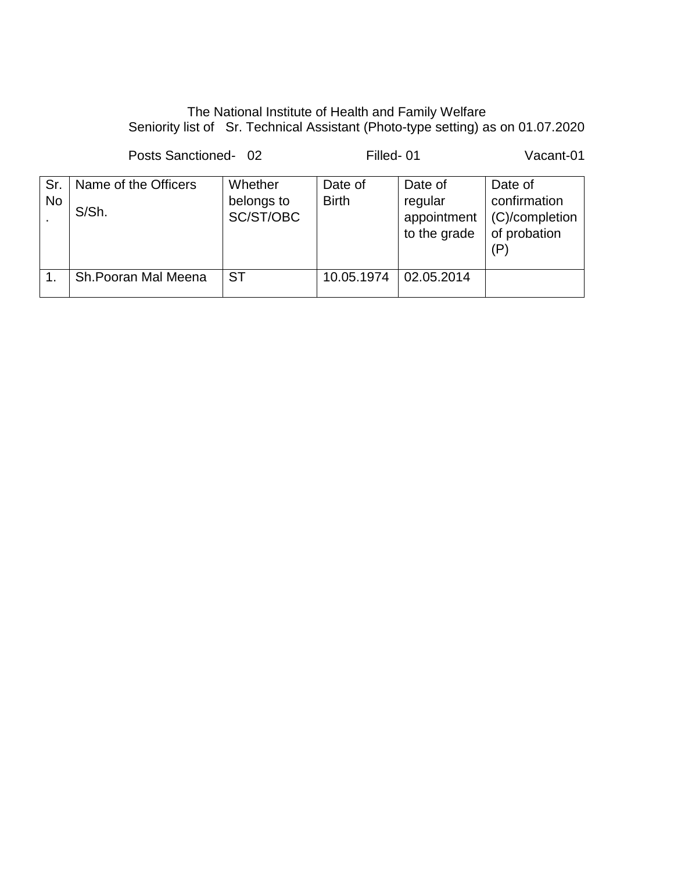## The National Institute of Health and Family Welfare Seniority list of Sr. Technical Assistant (Photo-type setting) as on 01.07.2020

Posts Sanctioned- 02 Filled- 01 Vacant-01

| Sr.<br><b>No</b> | Name of the Officers<br>S/Sh. | Whether<br>belongs to<br>SC/ST/OBC | Date of<br><b>Birth</b> | Date of<br>regular<br>appointment<br>to the grade | Date of<br>confirmation<br>(C)/completion<br>of probation |
|------------------|-------------------------------|------------------------------------|-------------------------|---------------------------------------------------|-----------------------------------------------------------|
|                  | Sh. Pooran Mal Meena          | <b>ST</b>                          | 10.05.1974              | 02.05.2014                                        |                                                           |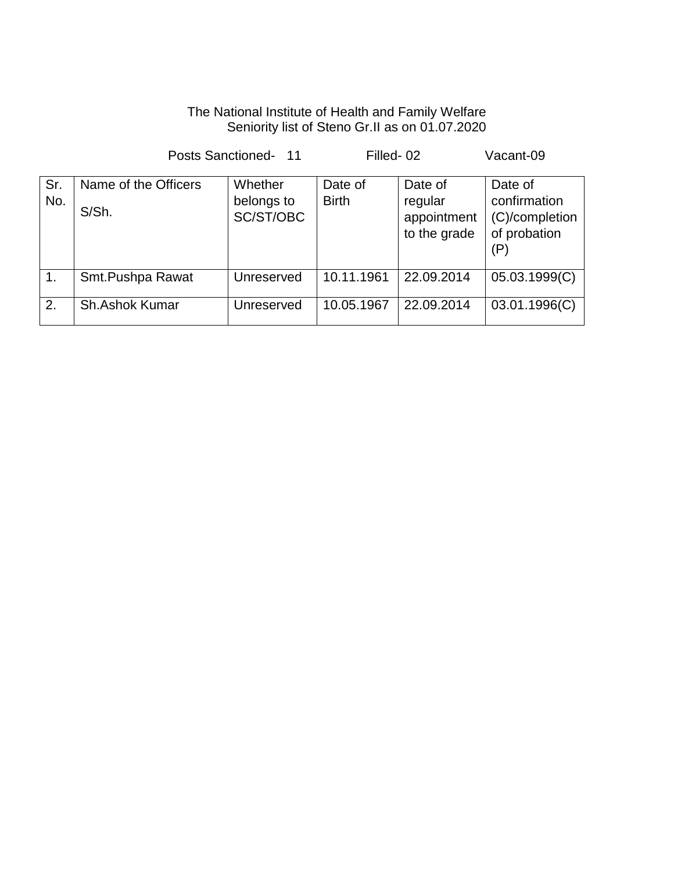### The National Institute of Health and Family Welfare Seniority list of Steno Gr.II as on 01.07.2020

|               | Posts Sanctioned- 11          |                                    | Filled-02               |                                                   | Vacant-09                                                        |
|---------------|-------------------------------|------------------------------------|-------------------------|---------------------------------------------------|------------------------------------------------------------------|
| Sr.<br>No.    | Name of the Officers<br>S/Sh. | Whether<br>belongs to<br>SC/ST/OBC | Date of<br><b>Birth</b> | Date of<br>regular<br>appointment<br>to the grade | Date of<br>confirmation<br>(C)/completion<br>of probation<br>(P) |
| $\mathbf 1$ . | Smt.Pushpa Rawat              | Unreserved                         | 10.11.1961              | 22.09.2014                                        | 05.03.1999(C)                                                    |
| 2.            | <b>Sh.Ashok Kumar</b>         | Unreserved                         | 10.05.1967              | 22.09.2014                                        | 03.01.1996(C)                                                    |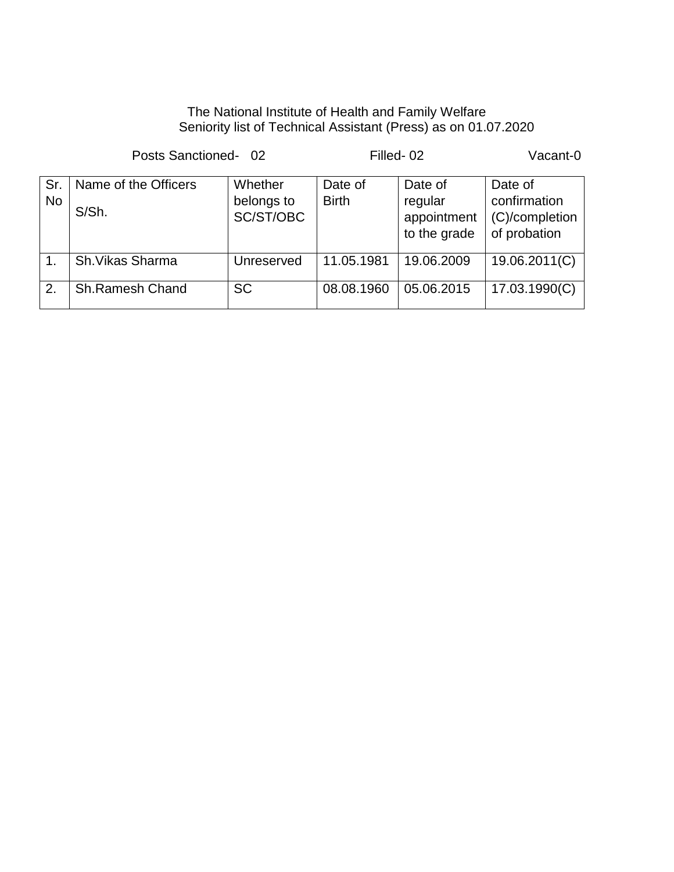### The National Institute of Health and Family Welfare Seniority list of Technical Assistant (Press) as on 01.07.2020

Posts Sanctioned- 02 Filled- 02 Vacant-0 Sr. No Name of the Officers S/Sh. **Whether** belongs to SC/ST/OBC Date of Birth Date of regular appointment to the grade Date of confirmation (C)/completion of probation 1. Sh.Vikas Sharma | Unreserved 11.05.1981 | 19.06.2009 | 19.06.2011(C) 2. Sh.Ramesh Chand SC 08.08.1960 05.06.2015 17.03.1990(C)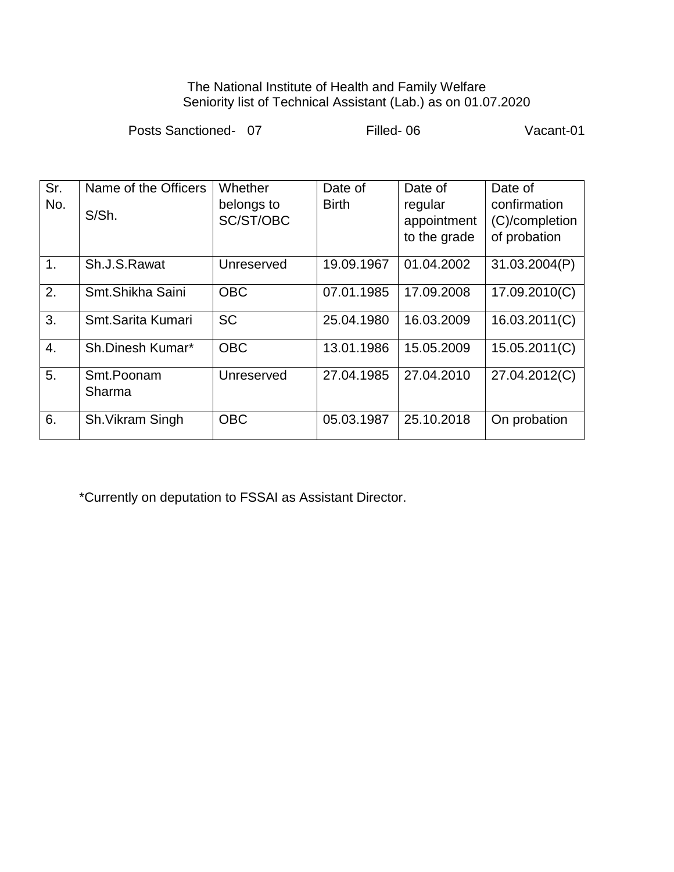#### The National Institute of Health and Family Welfare Seniority list of Technical Assistant (Lab.) as on 01.07.2020

Posts Sanctioned- 07 Filled- 06 Vacant-01

| Sr.              | Name of the Officers | Whether    | Date of      | Date of      | Date of        |
|------------------|----------------------|------------|--------------|--------------|----------------|
| No.              | S/Sh.                | belongs to | <b>Birth</b> | regular      | confirmation   |
|                  |                      | SC/ST/OBC  |              | appointment  | (C)/completion |
|                  |                      |            |              | to the grade | of probation   |
| 1.               | Sh.J.S.Rawat         | Unreserved | 19.09.1967   | 01.04.2002   | 31.03.2004(P)  |
| 2.               | Smt.Shikha Saini     | <b>OBC</b> | 07.01.1985   | 17.09.2008   | 17.09.2010(C)  |
| 3.               | Smt.Sarita Kumari    | <b>SC</b>  | 25.04.1980   | 16.03.2009   | 16.03.2011(C)  |
| $\overline{4}$ . | Sh.Dinesh Kumar*     | <b>OBC</b> | 13.01.1986   | 15.05.2009   | 15.05.2011(C)  |
| 5.               | Smt.Poonam<br>Sharma | Unreserved | 27.04.1985   | 27.04.2010   | 27.04.2012(C)  |
| 6.               | Sh. Vikram Singh     | <b>OBC</b> | 05.03.1987   | 25.10.2018   | On probation   |

\*Currently on deputation to FSSAI as Assistant Director.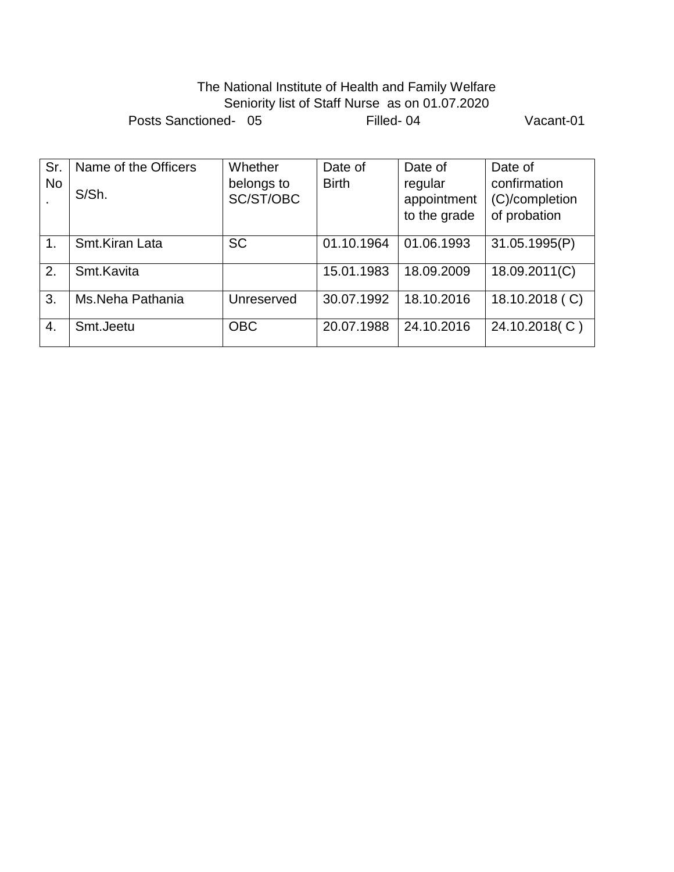## The National Institute of Health and Family Welfare Seniority list of Staff Nurse as on 01.07.2020 Posts Sanctioned- 05 Filled- 04 Vacant-01

| Sr.            | Name of the Officers | Whether    | Date of      | Date of      | Date of        |
|----------------|----------------------|------------|--------------|--------------|----------------|
| <b>No</b>      | S/Sh.                | belongs to | <b>Birth</b> | regular      | confirmation   |
|                |                      | SC/ST/OBC  |              | appointment  | (C)/completion |
|                |                      |            |              | to the grade | of probation   |
|                |                      |            |              |              |                |
| 1 <sub>1</sub> | Smt.Kiran Lata       | <b>SC</b>  | 01.10.1964   | 01.06.1993   | 31.05.1995(P)  |
| 2.             | Smt.Kavita           |            | 15.01.1983   | 18.09.2009   | 18.09.2011(C)  |
| 3.             | Ms.Neha Pathania     | Unreserved | 30.07.1992   | 18.10.2016   | 18.10.2018 (C) |
| 4.             | Smt.Jeetu            | <b>OBC</b> | 20.07.1988   | 24.10.2016   | 24.10.2018(C)  |